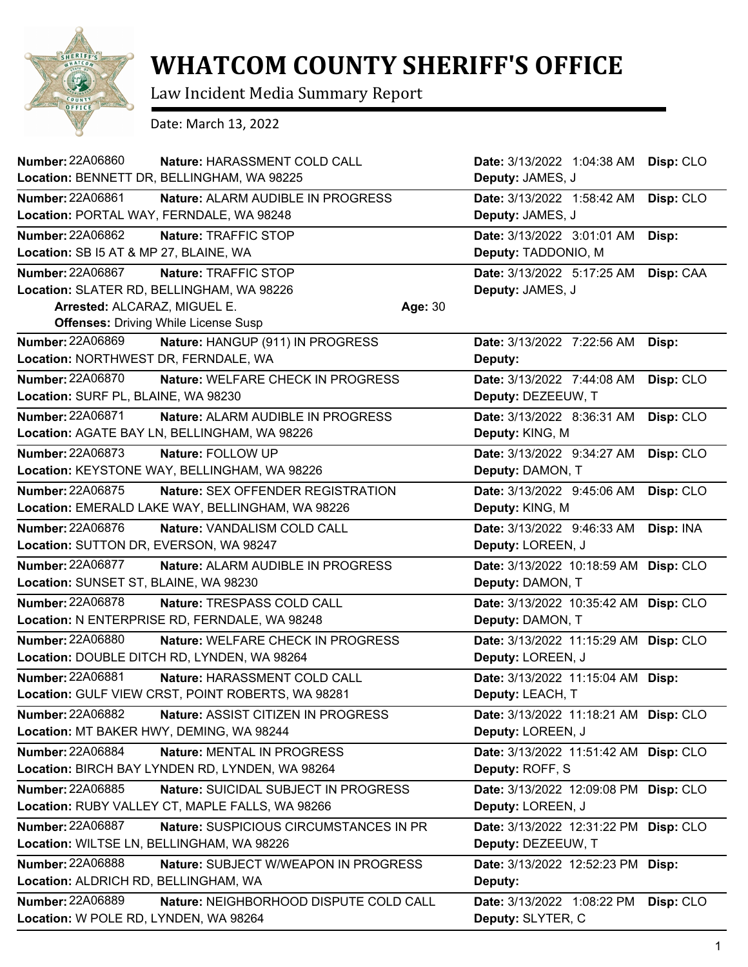

## **WHATCOM COUNTY SHERIFF'S OFFICE**

Law Incident Media Summary Report

Date: March 13, 2022

| <b>Number: 22A06860</b><br>Nature: HARASSMENT COLD CALL         | Date: 3/13/2022 1:04:38 AM<br>Disp: CLO  |
|-----------------------------------------------------------------|------------------------------------------|
| Location: BENNETT DR, BELLINGHAM, WA 98225                      | Deputy: JAMES, J                         |
| Number: 22A06861<br>Nature: ALARM AUDIBLE IN PROGRESS           | Date: 3/13/2022 1:58:42 AM<br>Disp: CLO  |
| Location: PORTAL WAY, FERNDALE, WA 98248                        | Deputy: JAMES, J                         |
| Number: 22A06862<br>Nature: TRAFFIC STOP                        | Date: 3/13/2022 3:01:01 AM<br>Disp:      |
| Location: SB I5 AT & MP 27, BLAINE, WA                          | Deputy: TADDONIO, M                      |
| Number: 22A06867<br>Nature: TRAFFIC STOP                        | Date: 3/13/2022 5:17:25 AM<br>Disp: CAA  |
| Location: SLATER RD, BELLINGHAM, WA 98226                       | Deputy: JAMES, J                         |
| Arrested: ALCARAZ, MIGUEL E.<br>Age: 30                         |                                          |
| <b>Offenses: Driving While License Susp</b>                     |                                          |
| <b>Number: 22A06869</b><br>Nature: HANGUP (911) IN PROGRESS     | Date: 3/13/2022 7:22:56 AM<br>Disp:      |
| Location: NORTHWEST DR, FERNDALE, WA                            | Deputy:                                  |
| <b>Number: 22A06870</b><br>Nature: WELFARE CHECK IN PROGRESS    | Disp: CLO<br>Date: 3/13/2022 7:44:08 AM  |
| Location: SURF PL, BLAINE, WA 98230                             | Deputy: DEZEEUW, T                       |
| Number: 22A06871<br>Nature: ALARM AUDIBLE IN PROGRESS           | Date: 3/13/2022 8:36:31 AM<br>Disp: CLO  |
| Location: AGATE BAY LN, BELLINGHAM, WA 98226                    | Deputy: KING, M                          |
| Number: 22A06873<br>Nature: FOLLOW UP                           | Date: 3/13/2022 9:34:27 AM<br>Disp: CLO  |
| Location: KEYSTONE WAY, BELLINGHAM, WA 98226                    | Deputy: DAMON, T                         |
| <b>Number: 22A06875</b><br>Nature: SEX OFFENDER REGISTRATION    | Date: 3/13/2022 9:45:06 AM<br>Disp: CLO  |
| Location: EMERALD LAKE WAY, BELLINGHAM, WA 98226                | Deputy: KING, M                          |
| <b>Number: 22A06876</b><br>Nature: VANDALISM COLD CALL          | Date: 3/13/2022 9:46:33 AM<br>Disp: INA  |
| Location: SUTTON DR, EVERSON, WA 98247                          | Deputy: LOREEN, J                        |
| <b>Number: 22A06877</b><br>Nature: ALARM AUDIBLE IN PROGRESS    | Date: 3/13/2022 10:18:59 AM<br>Disp: CLO |
| Location: SUNSET ST, BLAINE, WA 98230                           | Deputy: DAMON, T                         |
| <b>Number: 22A06878</b><br>Nature: TRESPASS COLD CALL           | Date: 3/13/2022 10:35:42 AM<br>Disp: CLO |
| Location: N ENTERPRISE RD, FERNDALE, WA 98248                   | Deputy: DAMON, T                         |
| Number: 22A06880<br>Nature: WELFARE CHECK IN PROGRESS           | Date: 3/13/2022 11:15:29 AM<br>Disp: CLO |
| Location: DOUBLE DITCH RD, LYNDEN, WA 98264                     | Deputy: LOREEN, J                        |
| Number: 22A06881<br>Nature: HARASSMENT COLD CALL                | Date: 3/13/2022 11:15:04 AM<br>Disp:     |
| Location: GULF VIEW CRST, POINT ROBERTS, WA 98281               | Deputy: LEACH, T                         |
| <b>Number: 22A06882</b><br>Nature: ASSIST CITIZEN IN PROGRESS   | Date: 3/13/2022 11:18:21 AM Disp: CLO    |
| Location: MT BAKER HWY, DEMING, WA 98244                        | Deputy: LOREEN, J                        |
| Number: 22A06884<br>Nature: MENTAL IN PROGRESS                  | Disp: CLO<br>Date: 3/13/2022 11:51:42 AM |
| Location: BIRCH BAY LYNDEN RD, LYNDEN, WA 98264                 | Deputy: ROFF, S                          |
| Number: 22A06885<br>Nature: SUICIDAL SUBJECT IN PROGRESS        | Date: 3/13/2022 12:09:08 PM<br>Disp: CLO |
| Location: RUBY VALLEY CT, MAPLE FALLS, WA 98266                 | Deputy: LOREEN, J                        |
| Number: 22A06887<br>Nature: SUSPICIOUS CIRCUMSTANCES IN PR      | Disp: CLO<br>Date: 3/13/2022 12:31:22 PM |
| Location: WILTSE LN, BELLINGHAM, WA 98226                       | Deputy: DEZEEUW, T                       |
| <b>Number: 22A06888</b><br>Nature: SUBJECT W/WEAPON IN PROGRESS | Date: 3/13/2022 12:52:23 PM<br>Disp:     |
| Location: ALDRICH RD, BELLINGHAM, WA                            | Deputy:                                  |
| Number: 22A06889<br>Nature: NEIGHBORHOOD DISPUTE COLD CALL      | Date: 3/13/2022 1:08:22 PM<br>Disp: CLO  |
| Location: W POLE RD, LYNDEN, WA 98264                           | Deputy: SLYTER, C                        |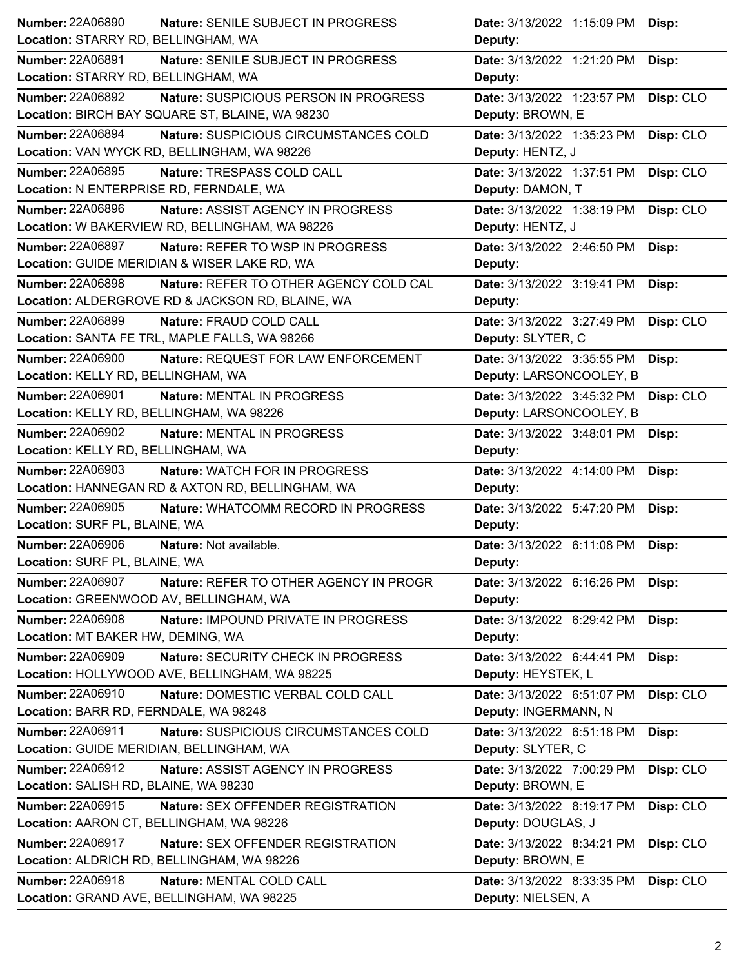| Number: 22A06890<br><b>Nature: SENILE SUBJECT IN PROGRESS</b>                                    | Date: 3/13/2022 1:15:09 PM Disp:                                |
|--------------------------------------------------------------------------------------------------|-----------------------------------------------------------------|
| Location: STARRY RD, BELLINGHAM, WA                                                              | Deputy:                                                         |
| <b>Number: 22A06891</b><br>Nature: SENILE SUBJECT IN PROGRESS                                    | Date: 3/13/2022 1:21:20 PM<br>Disp:                             |
| Location: STARRY RD, BELLINGHAM, WA                                                              | Deputy:                                                         |
| <b>Number: 22A06892</b><br>Nature: SUSPICIOUS PERSON IN PROGRESS                                 | Date: 3/13/2022 1:23:57 PM<br>Disp: CLO                         |
| Location: BIRCH BAY SQUARE ST, BLAINE, WA 98230                                                  | Deputy: BROWN, E                                                |
| <b>Number: 22A06894</b><br>Nature: SUSPICIOUS CIRCUMSTANCES COLD                                 | Date: 3/13/2022 1:35:23 PM<br>Disp: CLO                         |
| Location: VAN WYCK RD, BELLINGHAM, WA 98226                                                      | Deputy: HENTZ, J                                                |
| Number: 22A06895<br>Nature: TRESPASS COLD CALL                                                   | Date: 3/13/2022 1:37:51 PM<br>Disp: CLO                         |
| Location: N ENTERPRISE RD, FERNDALE, WA                                                          | Deputy: DAMON, T                                                |
| <b>Number: 22A06896</b><br>Nature: ASSIST AGENCY IN PROGRESS                                     | Date: 3/13/2022 1:38:19 PM<br>Disp: CLO                         |
| Location: W BAKERVIEW RD, BELLINGHAM, WA 98226                                                   | Deputy: HENTZ, J                                                |
| <b>Number: 22A06897</b><br>Nature: REFER TO WSP IN PROGRESS                                      | Date: 3/13/2022 2:46:50 PM<br>Disp:                             |
| Location: GUIDE MERIDIAN & WISER LAKE RD, WA                                                     | Deputy:                                                         |
| <b>Number: 22A06898</b><br>Nature: REFER TO OTHER AGENCY COLD CAL                                | Date: 3/13/2022 3:19:41 PM<br>Disp:                             |
| Location: ALDERGROVE RD & JACKSON RD, BLAINE, WA                                                 | Deputy:                                                         |
| <b>Number: 22A06899</b><br>Nature: FRAUD COLD CALL                                               | Date: 3/13/2022 3:27:49 PM<br>Disp: CLO                         |
| Location: SANTA FE TRL, MAPLE FALLS, WA 98266                                                    | Deputy: SLYTER, C                                               |
| <b>Number: 22A06900</b><br>Nature: REQUEST FOR LAW ENFORCEMENT                                   | Date: 3/13/2022 3:35:55 PM<br>Disp:                             |
| Location: KELLY RD, BELLINGHAM, WA                                                               | Deputy: LARSONCOOLEY, B                                         |
| <b>Number: 22A06901</b><br>Nature: MENTAL IN PROGRESS                                            | Date: 3/13/2022 3:45:32 PM<br>Disp: CLO                         |
| Location: KELLY RD, BELLINGHAM, WA 98226                                                         | Deputy: LARSONCOOLEY, B                                         |
| Number: 22A06902<br>Nature: MENTAL IN PROGRESS                                                   | Date: 3/13/2022 3:48:01 PM<br>Disp:                             |
| Location: KELLY RD, BELLINGHAM, WA                                                               | Deputy:                                                         |
| <b>Number: 22A06903</b><br>Nature: WATCH FOR IN PROGRESS                                         | Date: 3/13/2022 4:14:00 PM<br>Disp:                             |
| Location: HANNEGAN RD & AXTON RD, BELLINGHAM, WA                                                 | Deputy:                                                         |
| <b>Number: 22A06905</b><br>Nature: WHATCOMM RECORD IN PROGRESS                                   | Date: 3/13/2022 5:47:20 PM<br>Disp:                             |
|                                                                                                  | Deputy:                                                         |
| Location: SURF PL, BLAINE, WA                                                                    |                                                                 |
| <b>Number: 22A06906</b><br>Nature: Not available.                                                |                                                                 |
| Location: SURF PL, BLAINE, WA                                                                    | Date: 3/13/2022 6:11:08 PM Disp:<br>Deputy:                     |
| <b>Number: 22A06907</b>                                                                          |                                                                 |
| Nature: REFER TO OTHER AGENCY IN PROGR<br>Location: GREENWOOD AV, BELLINGHAM, WA                 | Date: 3/13/2022 6:16:26 PM<br>Disp:<br>Deputy:                  |
| <b>Number: 22A06908</b>                                                                          |                                                                 |
| Nature: IMPOUND PRIVATE IN PROGRESS<br>Location: MT BAKER HW, DEMING, WA                         | Date: 3/13/2022 6:29:42 PM<br>Disp:                             |
| <b>Number: 22A06909</b><br>Nature: SECURITY CHECK IN PROGRESS                                    | Deputy:                                                         |
| Location: HOLLYWOOD AVE, BELLINGHAM, WA 98225                                                    | Date: 3/13/2022 6:44:41 PM<br>Disp:<br>Deputy: HEYSTEK, L       |
| Number: 22A06910                                                                                 |                                                                 |
| Nature: DOMESTIC VERBAL COLD CALL<br>Location: BARR RD, FERNDALE, WA 98248                       | Date: 3/13/2022 6:51:07 PM<br>Disp: CLO<br>Deputy: INGERMANN, N |
|                                                                                                  |                                                                 |
| Number: 22A06911<br>Nature: SUSPICIOUS CIRCUMSTANCES COLD                                        | Date: 3/13/2022 6:51:18 PM<br>Disp:                             |
| Location: GUIDE MERIDIAN, BELLINGHAM, WA                                                         | Deputy: SLYTER, C                                               |
| Number: 22A06912<br>Nature: ASSIST AGENCY IN PROGRESS<br>Location: SALISH RD, BLAINE, WA 98230   | Date: 3/13/2022 7:00:29 PM<br>Disp: CLO<br>Deputy: BROWN, E     |
|                                                                                                  |                                                                 |
| Number: 22A06915<br>Nature: SEX OFFENDER REGISTRATION                                            | Date: 3/13/2022 8:19:17 PM<br>Disp: CLO                         |
| Location: AARON CT, BELLINGHAM, WA 98226                                                         | Deputy: DOUGLAS, J                                              |
| <b>Number: 22A06917</b><br>Nature: SEX OFFENDER REGISTRATION                                     | Date: 3/13/2022 8:34:21 PM<br>Disp: CLO                         |
| Location: ALDRICH RD, BELLINGHAM, WA 98226                                                       | Deputy: BROWN, E                                                |
| <b>Number: 22A06918</b><br>Nature: MENTAL COLD CALL<br>Location: GRAND AVE, BELLINGHAM, WA 98225 | Date: 3/13/2022 8:33:35 PM<br>Disp: CLO<br>Deputy: NIELSEN, A   |